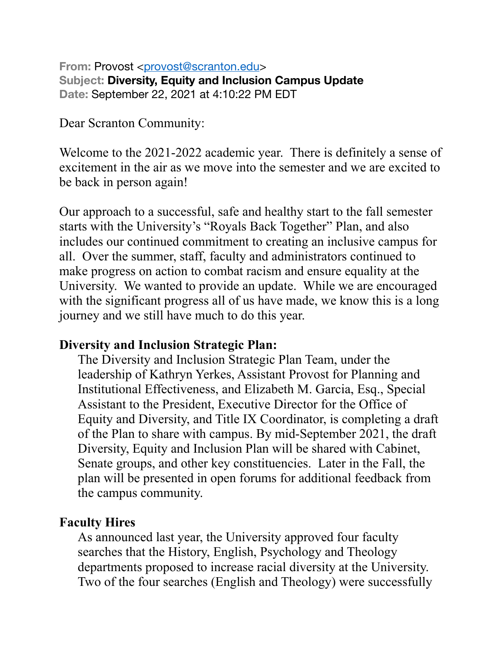**From: Provost <[provost@scranton.edu](mailto:provost@scranton.edu)> Subject: Diversity, Equity and Inclusion Campus Update Date:** September 22, 2021 at 4:10:22 PM EDT

Dear Scranton Community:

Welcome to the 2021-2022 academic year. There is definitely a sense of excitement in the air as we move into the semester and we are excited to be back in person again!

Our approach to a successful, safe and healthy start to the fall semester starts with the University's "Royals Back Together" Plan, and also includes our continued commitment to creating an inclusive campus for all. Over the summer, staff, faculty and administrators continued to make progress on action to combat racism and ensure equality at the University. We wanted to provide an update. While we are encouraged with the significant progress all of us have made, we know this is a long journey and we still have much to do this year.

## **Diversity and Inclusion Strategic Plan:**

The Diversity and Inclusion Strategic Plan Team, under the leadership of Kathryn Yerkes, Assistant Provost for Planning and Institutional Effectiveness, and Elizabeth M. Garcia, Esq., Special Assistant to the President, Executive Director for the Office of Equity and Diversity, and Title IX Coordinator, is completing a draft of the Plan to share with campus. By mid-September 2021, the draft Diversity, Equity and Inclusion Plan will be shared with Cabinet, Senate groups, and other key constituencies. Later in the Fall, the plan will be presented in open forums for additional feedback from the campus community.

# **Faculty Hires**

As announced last year, the University approved four faculty searches that the History, English, Psychology and Theology departments proposed to increase racial diversity at the University. Two of the four searches (English and Theology) were successfully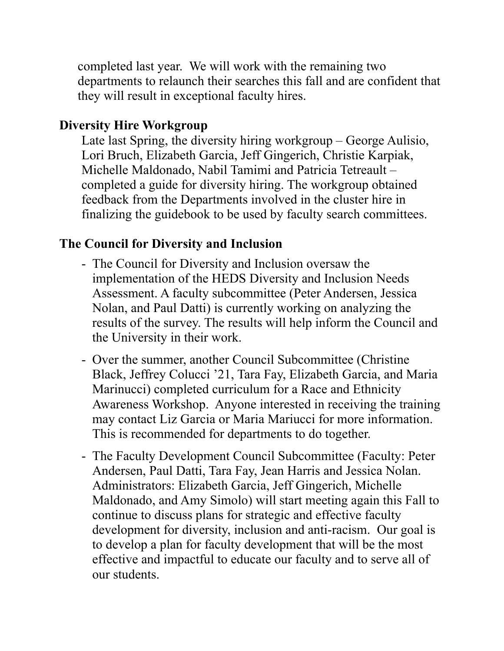completed last year. We will work with the remaining two departments to relaunch their searches this fall and are confident that they will result in exceptional faculty hires.

# **Diversity Hire Workgroup**

Late last Spring, the diversity hiring workgroup – George Aulisio, Lori Bruch, Elizabeth Garcia, Jeff Gingerich, Christie Karpiak, Michelle Maldonado, Nabil Tamimi and Patricia Tetreault – completed a guide for diversity hiring. The workgroup obtained feedback from the Departments involved in the cluster hire in finalizing the guidebook to be used by faculty search committees.

# **The Council for Diversity and Inclusion**

- The Council for Diversity and Inclusion oversaw the implementation of the HEDS Diversity and Inclusion Needs Assessment. A faculty subcommittee (Peter Andersen, Jessica Nolan, and Paul Datti) is currently working on analyzing the results of the survey. The results will help inform the Council and the University in their work.
- Over the summer, another Council Subcommittee (Christine Black, Jeffrey Colucci '21, Tara Fay, Elizabeth Garcia, and Maria Marinucci) completed curriculum for a Race and Ethnicity Awareness Workshop. Anyone interested in receiving the training may contact Liz Garcia or Maria Mariucci for more information. This is recommended for departments to do together.
- The Faculty Development Council Subcommittee (Faculty: Peter Andersen, Paul Datti, Tara Fay, Jean Harris and Jessica Nolan. Administrators: Elizabeth Garcia, Jeff Gingerich, Michelle Maldonado, and Amy Simolo) will start meeting again this Fall to continue to discuss plans for strategic and effective faculty development for diversity, inclusion and anti-racism. Our goal is to develop a plan for faculty development that will be the most effective and impactful to educate our faculty and to serve all of our students.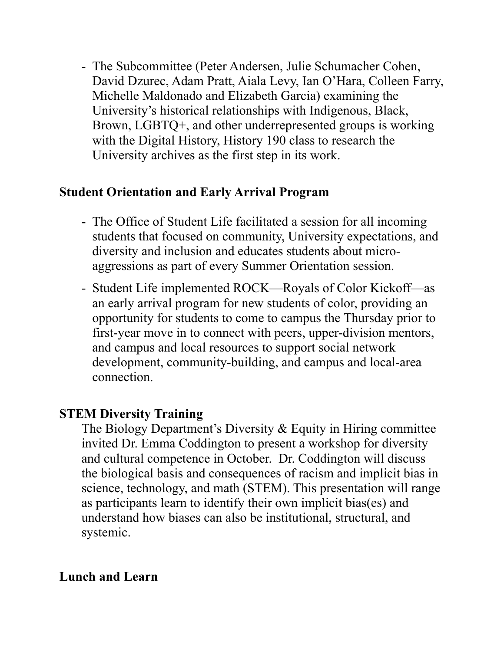- The Subcommittee (Peter Andersen, Julie Schumacher Cohen, David Dzurec, Adam Pratt, Aiala Levy, Ian O'Hara, Colleen Farry, Michelle Maldonado and Elizabeth Garcia) examining the University's historical relationships with Indigenous, Black, Brown, LGBTQ+, and other underrepresented groups is working with the Digital History, History 190 class to research the University archives as the first step in its work.

## **Student Orientation and Early Arrival Program**

- The Office of Student Life facilitated a session for all incoming students that focused on community, University expectations, and diversity and inclusion and educates students about microaggressions as part of every Summer Orientation session.
- Student Life implemented ROCK—Royals of Color Kickoff—as an early arrival program for new students of color, providing an opportunity for students to come to campus the Thursday prior to first-year move in to connect with peers, upper-division mentors, and campus and local resources to support social network development, community-building, and campus and local-area connection.

## **STEM Diversity Training**

The Biology Department's Diversity & Equity in Hiring committee invited Dr. Emma Coddington to present a workshop for diversity and cultural competence in October. Dr. Coddington will discuss the biological basis and consequences of racism and implicit bias in science, technology, and math (STEM). This presentation will range as participants learn to identify their own implicit bias(es) and understand how biases can also be institutional, structural, and systemic.

# **Lunch and Learn**